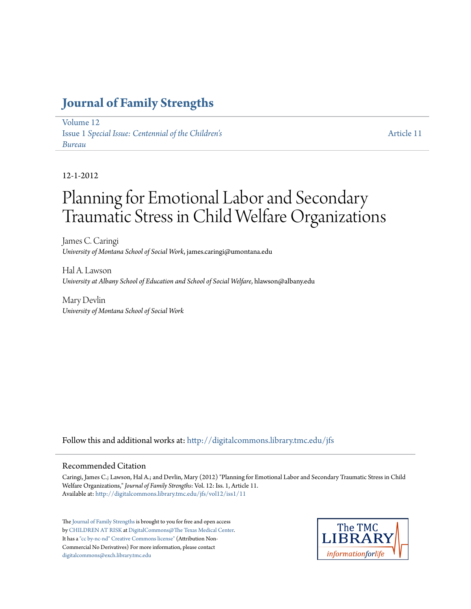# **[Journal of Family Strengths](http://digitalcommons.library.tmc.edu/jfs?utm_source=digitalcommons.library.tmc.edu%2Fjfs%2Fvol12%2Fiss1%2F11&utm_medium=PDF&utm_campaign=PDFCoverPages)**

[Volume 12](http://digitalcommons.library.tmc.edu/jfs/vol12?utm_source=digitalcommons.library.tmc.edu%2Fjfs%2Fvol12%2Fiss1%2F11&utm_medium=PDF&utm_campaign=PDFCoverPages) Issue 1 *[Special Issue: Centennial of the Children's](http://digitalcommons.library.tmc.edu/jfs/vol12/iss1?utm_source=digitalcommons.library.tmc.edu%2Fjfs%2Fvol12%2Fiss1%2F11&utm_medium=PDF&utm_campaign=PDFCoverPages) [Bureau](http://digitalcommons.library.tmc.edu/jfs/vol12/iss1?utm_source=digitalcommons.library.tmc.edu%2Fjfs%2Fvol12%2Fiss1%2F11&utm_medium=PDF&utm_campaign=PDFCoverPages)*

[Article 11](http://digitalcommons.library.tmc.edu/jfs/vol12/iss1/11?utm_source=digitalcommons.library.tmc.edu%2Fjfs%2Fvol12%2Fiss1%2F11&utm_medium=PDF&utm_campaign=PDFCoverPages)

#### 12-1-2012

# Planning for Emotional Labor and Secondary Traumatic Stress in Child Welfare Organizations

James C. Caringi *University of Montana School of Social Work*, james.caringi@umontana.edu

Hal A. Lawson *University at Albany School of Education and School of Social Welfare*, hlawson@albany.edu

Mary Devlin *University of Montana School of Social Work*

Follow this and additional works at: [http://digitalcommons.library.tmc.edu/jfs](http://digitalcommons.library.tmc.edu/jfs?utm_source=digitalcommons.library.tmc.edu%2Fjfs%2Fvol12%2Fiss1%2F11&utm_medium=PDF&utm_campaign=PDFCoverPages)

#### Recommended Citation

Caringi, James C.; Lawson, Hal A.; and Devlin, Mary (2012) "Planning for Emotional Labor and Secondary Traumatic Stress in Child Welfare Organizations," *Journal of Family Strengths*: Vol. 12: Iss. 1, Article 11. Available at: [http://digitalcommons.library.tmc.edu/jfs/vol12/iss1/11](http://digitalcommons.library.tmc.edu/jfs/vol12/iss1/11?utm_source=digitalcommons.library.tmc.edu%2Fjfs%2Fvol12%2Fiss1%2F11&utm_medium=PDF&utm_campaign=PDFCoverPages)

The [Journal of Family Strengths](http://digitalcommons.library.tmc.edu/jfs) is brought to you for free and open access by [CHILDREN AT RISK](http://childrenatrisk.org/) at [DigitalCommons@The Texas Medical Center](http://digitalcommons.library.tmc.edu/). It has a ["cc by-nc-nd" Creative Commons license"](http://creativecommons.org/licenses/by-nc-nd/3.0/) (Attribution Non-Commercial No Derivatives) For more information, please contact [digitalcommons@exch.library.tmc.edu](mailto:digitalcommons@exch.library.tmc.edu)

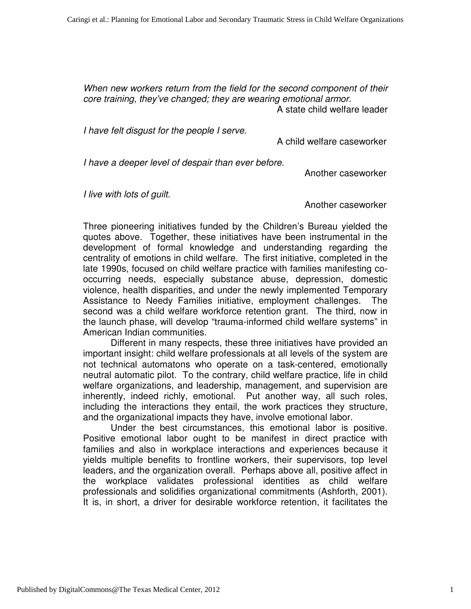When new workers return from the field for the second component of their core training, they've changed; they are wearing emotional armor. A state child welfare leader

I have felt disgust for the people I serve.

A child welfare caseworker

I have a deeper level of despair than ever before.

Another caseworker

I live with lots of guilt.

Another caseworker

Three pioneering initiatives funded by the Children's Bureau yielded the quotes above. Together, these initiatives have been instrumental in the development of formal knowledge and understanding regarding the centrality of emotions in child welfare. The first initiative, completed in the late 1990s, focused on child welfare practice with families manifesting cooccurring needs, especially substance abuse, depression, domestic violence, health disparities, and under the newly implemented Temporary Assistance to Needy Families initiative, employment challenges. The second was a child welfare workforce retention grant. The third, now in the launch phase, will develop "trauma-informed child welfare systems" in American Indian communities.

Different in many respects, these three initiatives have provided an important insight: child welfare professionals at all levels of the system are not technical automatons who operate on a task-centered, emotionally neutral automatic pilot. To the contrary, child welfare practice, life in child welfare organizations, and leadership, management, and supervision are inherently, indeed richly, emotional. Put another way, all such roles, including the interactions they entail, the work practices they structure, and the organizational impacts they have, involve emotional labor.

Under the best circumstances, this emotional labor is positive. Positive emotional labor ought to be manifest in direct practice with families and also in workplace interactions and experiences because it yields multiple benefits to frontline workers, their supervisors, top level leaders, and the organization overall. Perhaps above all, positive affect in the workplace validates professional identities as child welfare professionals and solidifies organizational commitments (Ashforth, 2001). It is, in short, a driver for desirable workforce retention, it facilitates the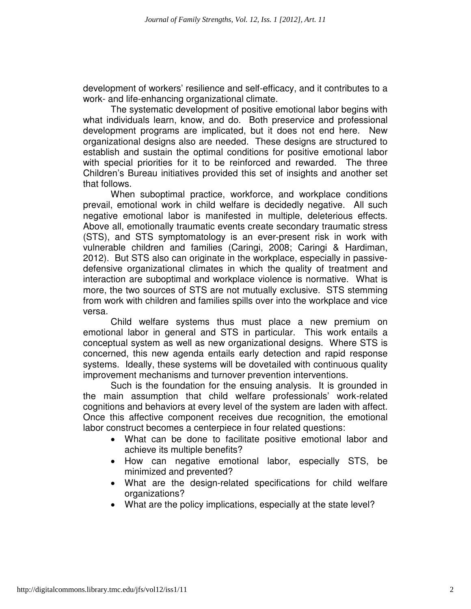development of workers' resilience and self-efficacy, and it contributes to a work- and life-enhancing organizational climate.

The systematic development of positive emotional labor begins with what individuals learn, know, and do. Both preservice and professional development programs are implicated, but it does not end here. New organizational designs also are needed. These designs are structured to establish and sustain the optimal conditions for positive emotional labor with special priorities for it to be reinforced and rewarded. The three Children's Bureau initiatives provided this set of insights and another set that follows.

 When suboptimal practice, workforce, and workplace conditions prevail, emotional work in child welfare is decidedly negative. All such negative emotional labor is manifested in multiple, deleterious effects. Above all, emotionally traumatic events create secondary traumatic stress (STS), and STS symptomatology is an ever-present risk in work with vulnerable children and families (Caringi, 2008; Caringi & Hardiman, 2012). But STS also can originate in the workplace, especially in passivedefensive organizational climates in which the quality of treatment and interaction are suboptimal and workplace violence is normative. What is more, the two sources of STS are not mutually exclusive. STS stemming from work with children and families spills over into the workplace and vice versa.

 Child welfare systems thus must place a new premium on emotional labor in general and STS in particular. This work entails a conceptual system as well as new organizational designs. Where STS is concerned, this new agenda entails early detection and rapid response systems. Ideally, these systems will be dovetailed with continuous quality improvement mechanisms and turnover prevention interventions.

Such is the foundation for the ensuing analysis. It is grounded in the main assumption that child welfare professionals' work-related cognitions and behaviors at every level of the system are laden with affect. Once this affective component receives due recognition, the emotional labor construct becomes a centerpiece in four related questions:

- What can be done to facilitate positive emotional labor and achieve its multiple benefits?
- How can negative emotional labor, especially STS, be minimized and prevented?
- What are the design-related specifications for child welfare organizations?
- What are the policy implications, especially at the state level?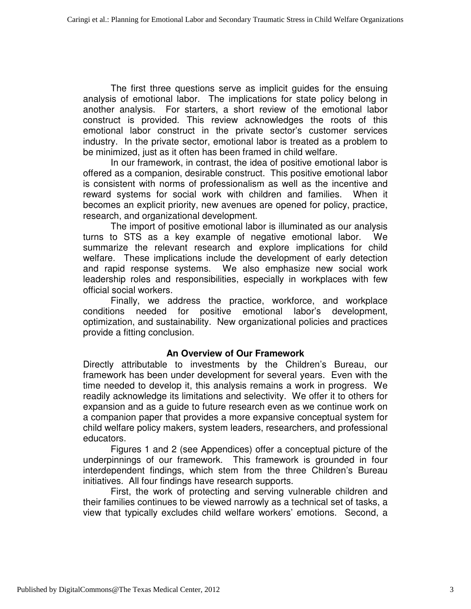The first three questions serve as implicit guides for the ensuing analysis of emotional labor. The implications for state policy belong in another analysis. For starters, a short review of the emotional labor construct is provided. This review acknowledges the roots of this emotional labor construct in the private sector's customer services industry. In the private sector, emotional labor is treated as a problem to be minimized, just as it often has been framed in child welfare.

In our framework, in contrast, the idea of positive emotional labor is offered as a companion, desirable construct. This positive emotional labor is consistent with norms of professionalism as well as the incentive and reward systems for social work with children and families. When it becomes an explicit priority, new avenues are opened for policy, practice, research, and organizational development.

The import of positive emotional labor is illuminated as our analysis turns to STS as a key example of negative emotional labor. We summarize the relevant research and explore implications for child welfare. These implications include the development of early detection and rapid response systems. We also emphasize new social work leadership roles and responsibilities, especially in workplaces with few official social workers.

 Finally, we address the practice, workforce, and workplace conditions needed for positive emotional labor's development, optimization, and sustainability. New organizational policies and practices provide a fitting conclusion.

# **An Overview of Our Framework**

Directly attributable to investments by the Children's Bureau, our framework has been under development for several years. Even with the time needed to develop it, this analysis remains a work in progress. We readily acknowledge its limitations and selectivity. We offer it to others for expansion and as a guide to future research even as we continue work on a companion paper that provides a more expansive conceptual system for child welfare policy makers, system leaders, researchers, and professional educators.

Figures 1 and 2 (see Appendices) offer a conceptual picture of the underpinnings of our framework. This framework is grounded in four interdependent findings, which stem from the three Children's Bureau initiatives. All four findings have research supports.

First, the work of protecting and serving vulnerable children and their families continues to be viewed narrowly as a technical set of tasks, a view that typically excludes child welfare workers' emotions. Second, a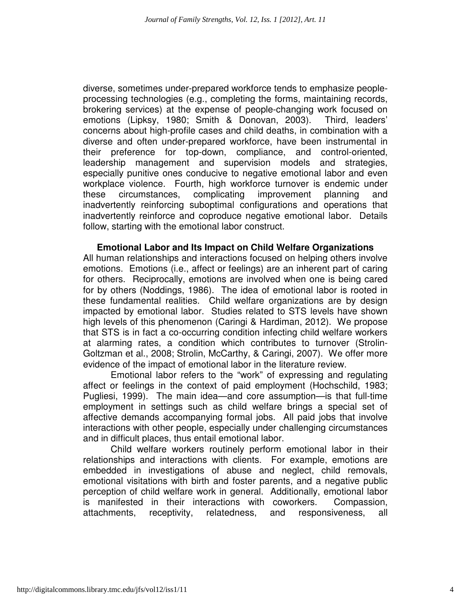diverse, sometimes under-prepared workforce tends to emphasize peopleprocessing technologies (e.g., completing the forms, maintaining records, brokering services) at the expense of people-changing work focused on emotions (Lipksy, 1980; Smith & Donovan, 2003). Third, leaders' concerns about high-profile cases and child deaths, in combination with a diverse and often under-prepared workforce, have been instrumental in their preference for top-down, compliance, and control-oriented, leadership management and supervision models and strategies, especially punitive ones conducive to negative emotional labor and even workplace violence. Fourth, high workforce turnover is endemic under these circumstances, complicating improvement planning and inadvertently reinforcing suboptimal configurations and operations that inadvertently reinforce and coproduce negative emotional labor. Details follow, starting with the emotional labor construct.

**Emotional Labor and Its Impact on Child Welfare Organizations**  All human relationships and interactions focused on helping others involve

emotions. Emotions (i.e., affect or feelings) are an inherent part of caring for others. Reciprocally, emotions are involved when one is being cared for by others (Noddings, 1986). The idea of emotional labor is rooted in these fundamental realities. Child welfare organizations are by design impacted by emotional labor. Studies related to STS levels have shown high levels of this phenomenon (Caringi & Hardiman, 2012). We propose that STS is in fact a co-occurring condition infecting child welfare workers at alarming rates, a condition which contributes to turnover (Strolin-Goltzman et al., 2008; Strolin, McCarthy, & Caringi, 2007). We offer more evidence of the impact of emotional labor in the literature review.

Emotional labor refers to the "work" of expressing and regulating affect or feelings in the context of paid employment (Hochschild, 1983; Pugliesi, 1999). The main idea—and core assumption—is that full-time employment in settings such as child welfare brings a special set of affective demands accompanying formal jobs. All paid jobs that involve interactions with other people, especially under challenging circumstances and in difficult places, thus entail emotional labor.

Child welfare workers routinely perform emotional labor in their relationships and interactions with clients. For example, emotions are embedded in investigations of abuse and neglect, child removals, emotional visitations with birth and foster parents, and a negative public perception of child welfare work in general. Additionally, emotional labor is manifested in their interactions with coworkers. Compassion, attachments, receptivity, relatedness, and responsiveness, all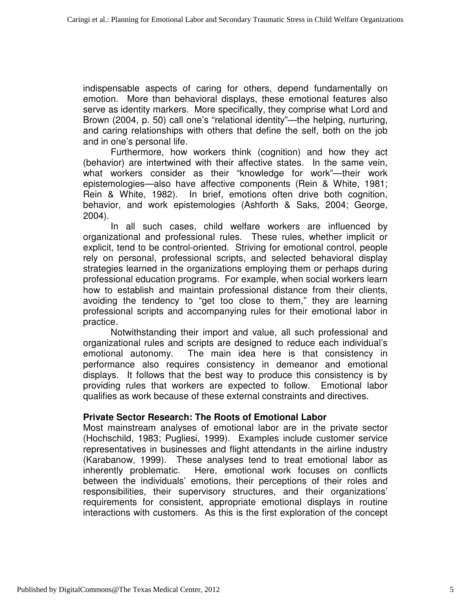indispensable aspects of caring for others, depend fundamentally on emotion. More than behavioral displays, these emotional features also serve as identity markers. More specifically, they comprise what Lord and Brown (2004, p. 50) call one's "relational identity"—the helping, nurturing, and caring relationships with others that define the self, both on the job and in one's personal life.

Furthermore, how workers think (cognition) and how they act (behavior) are intertwined with their affective states. In the same vein, what workers consider as their "knowledge for work"—their work epistemologies—also have affective components (Rein & White, 1981; Rein & White, 1982). In brief, emotions often drive both cognition, behavior, and work epistemologies (Ashforth & Saks, 2004; George, 2004).

In all such cases, child welfare workers are influenced by organizational and professional rules. These rules, whether implicit or explicit, tend to be control-oriented. Striving for emotional control, people rely on personal, professional scripts, and selected behavioral display strategies learned in the organizations employing them or perhaps during professional education programs. For example, when social workers learn how to establish and maintain professional distance from their clients, avoiding the tendency to "get too close to them," they are learning professional scripts and accompanying rules for their emotional labor in practice.

Notwithstanding their import and value, all such professional and organizational rules and scripts are designed to reduce each individual's emotional autonomy. The main idea here is that consistency in performance also requires consistency in demeanor and emotional displays. It follows that the best way to produce this consistency is by providing rules that workers are expected to follow. Emotional labor qualifies as work because of these external constraints and directives.

# **Private Sector Research: The Roots of Emotional Labor**

Most mainstream analyses of emotional labor are in the private sector (Hochschild, 1983; Pugliesi, 1999). Examples include customer service representatives in businesses and flight attendants in the airline industry (Karabanow, 1999). These analyses tend to treat emotional labor as inherently problematic. Here, emotional work focuses on conflicts between the individuals' emotions, their perceptions of their roles and responsibilities, their supervisory structures, and their organizations' requirements for consistent, appropriate emotional displays in routine interactions with customers. As this is the first exploration of the concept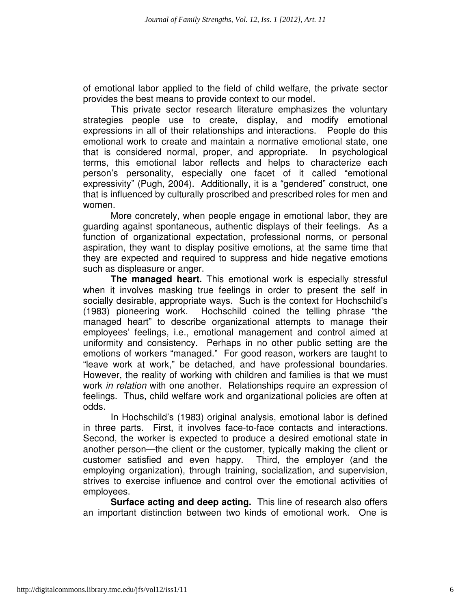of emotional labor applied to the field of child welfare, the private sector provides the best means to provide context to our model.

This private sector research literature emphasizes the voluntary strategies people use to create, display, and modify emotional expressions in all of their relationships and interactions. People do this emotional work to create and maintain a normative emotional state, one that is considered normal, proper, and appropriate. In psychological terms, this emotional labor reflects and helps to characterize each person's personality, especially one facet of it called "emotional expressivity" (Pugh, 2004). Additionally, it is a "gendered" construct, one that is influenced by culturally proscribed and prescribed roles for men and women.

More concretely, when people engage in emotional labor, they are guarding against spontaneous, authentic displays of their feelings. As a function of organizational expectation, professional norms, or personal aspiration, they want to display positive emotions, at the same time that they are expected and required to suppress and hide negative emotions such as displeasure or anger.

**The managed heart.** This emotional work is especially stressful when it involves masking true feelings in order to present the self in socially desirable, appropriate ways. Such is the context for Hochschild's (1983) pioneering work. Hochschild coined the telling phrase "the managed heart" to describe organizational attempts to manage their employees' feelings, i.e., emotional management and control aimed at uniformity and consistency. Perhaps in no other public setting are the emotions of workers "managed." For good reason, workers are taught to "leave work at work," be detached, and have professional boundaries. However, the reality of working with children and families is that we must work *in relation* with one another. Relationships require an expression of feelings. Thus, child welfare work and organizational policies are often at odds.

In Hochschild's (1983) original analysis, emotional labor is defined in three parts. First, it involves face-to-face contacts and interactions. Second, the worker is expected to produce a desired emotional state in another person—the client or the customer, typically making the client or customer satisfied and even happy. Third, the employer (and the employing organization), through training, socialization, and supervision, strives to exercise influence and control over the emotional activities of employees.

**Surface acting and deep acting.** This line of research also offers an important distinction between two kinds of emotional work. One is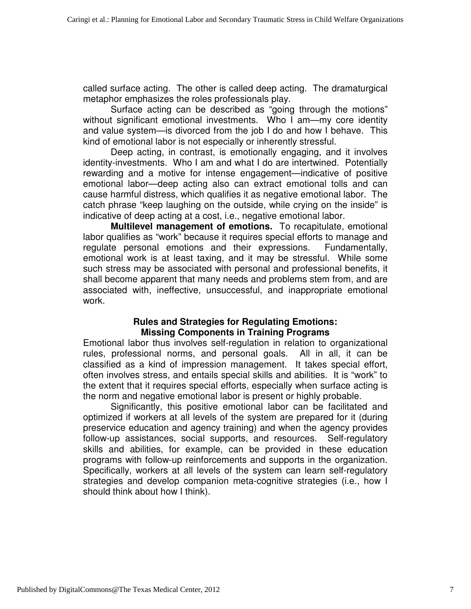called surface acting. The other is called deep acting. The dramaturgical metaphor emphasizes the roles professionals play.

Surface acting can be described as "going through the motions" without significant emotional investments. Who I am—my core identity and value system—is divorced from the job I do and how I behave. This kind of emotional labor is not especially or inherently stressful.

Deep acting, in contrast, is emotionally engaging, and it involves identity-investments. Who I am and what I do are intertwined. Potentially rewarding and a motive for intense engagement—indicative of positive emotional labor—deep acting also can extract emotional tolls and can cause harmful distress, which qualifies it as negative emotional labor. The catch phrase "keep laughing on the outside, while crying on the inside" is indicative of deep acting at a cost, i.e., negative emotional labor.

**Multilevel management of emotions.** To recapitulate, emotional labor qualifies as "work" because it requires special efforts to manage and regulate personal emotions and their expressions. Fundamentally, emotional work is at least taxing, and it may be stressful. While some such stress may be associated with personal and professional benefits, it shall become apparent that many needs and problems stem from, and are associated with, ineffective, unsuccessful, and inappropriate emotional work.

# **Rules and Strategies for Regulating Emotions: Missing Components in Training Programs**

Emotional labor thus involves self-regulation in relation to organizational rules, professional norms, and personal goals. All in all, it can be classified as a kind of impression management. It takes special effort, often involves stress, and entails special skills and abilities. It is "work" to the extent that it requires special efforts, especially when surface acting is the norm and negative emotional labor is present or highly probable.

Significantly, this positive emotional labor can be facilitated and optimized if workers at all levels of the system are prepared for it (during preservice education and agency training) and when the agency provides follow-up assistances, social supports, and resources. Self-regulatory skills and abilities, for example, can be provided in these education programs with follow-up reinforcements and supports in the organization. Specifically, workers at all levels of the system can learn self-regulatory strategies and develop companion meta-cognitive strategies (i.e., how I should think about how I think).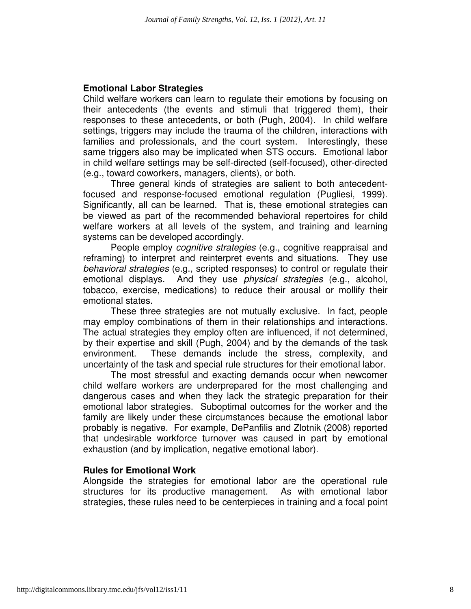### **Emotional Labor Strategies**

Child welfare workers can learn to regulate their emotions by focusing on their antecedents (the events and stimuli that triggered them), their responses to these antecedents, or both (Pugh, 2004). In child welfare settings, triggers may include the trauma of the children, interactions with families and professionals, and the court system. Interestingly, these same triggers also may be implicated when STS occurs. Emotional labor in child welfare settings may be self-directed (self-focused), other-directed (e.g., toward coworkers, managers, clients), or both.

Three general kinds of strategies are salient to both antecedentfocused and response-focused emotional regulation (Pugliesi, 1999). Significantly, all can be learned. That is, these emotional strategies can be viewed as part of the recommended behavioral repertoires for child welfare workers at all levels of the system, and training and learning systems can be developed accordingly.

People employ *cognitive strategies* (e.g., cognitive reappraisal and reframing) to interpret and reinterpret events and situations. They use behavioral strategies (e.g., scripted responses) to control or regulate their emotional displays. And they use *physical strategies* (e.g., alcohol, tobacco, exercise, medications) to reduce their arousal or mollify their emotional states.

These three strategies are not mutually exclusive. In fact, people may employ combinations of them in their relationships and interactions. The actual strategies they employ often are influenced, if not determined, by their expertise and skill (Pugh, 2004) and by the demands of the task environment. These demands include the stress, complexity, and uncertainty of the task and special rule structures for their emotional labor.

The most stressful and exacting demands occur when newcomer child welfare workers are underprepared for the most challenging and dangerous cases and when they lack the strategic preparation for their emotional labor strategies. Suboptimal outcomes for the worker and the family are likely under these circumstances because the emotional labor probably is negative. For example, DePanfilis and Zlotnik (2008) reported that undesirable workforce turnover was caused in part by emotional exhaustion (and by implication, negative emotional labor).

#### **Rules for Emotional Work**

Alongside the strategies for emotional labor are the operational rule structures for its productive management. As with emotional labor strategies, these rules need to be centerpieces in training and a focal point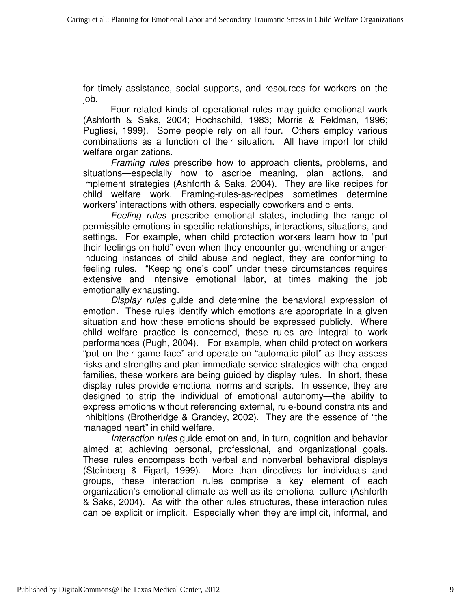for timely assistance, social supports, and resources for workers on the job.

Four related kinds of operational rules may guide emotional work (Ashforth & Saks, 2004; Hochschild, 1983; Morris & Feldman, 1996; Pugliesi, 1999). Some people rely on all four. Others employ various combinations as a function of their situation. All have import for child welfare organizations.

Framing rules prescribe how to approach clients, problems, and situations—especially how to ascribe meaning, plan actions, and implement strategies (Ashforth & Saks, 2004). They are like recipes for child welfare work. Framing-rules-as-recipes sometimes determine workers' interactions with others, especially coworkers and clients.

Feeling rules prescribe emotional states, including the range of permissible emotions in specific relationships, interactions, situations, and settings. For example, when child protection workers learn how to "put their feelings on hold" even when they encounter gut-wrenching or angerinducing instances of child abuse and neglect, they are conforming to feeling rules. "Keeping one's cool" under these circumstances requires extensive and intensive emotional labor, at times making the job emotionally exhausting.

Display rules guide and determine the behavioral expression of emotion. These rules identify which emotions are appropriate in a given situation and how these emotions should be expressed publicly. Where child welfare practice is concerned, these rules are integral to work performances (Pugh, 2004). For example, when child protection workers "put on their game face" and operate on "automatic pilot" as they assess risks and strengths and plan immediate service strategies with challenged families, these workers are being guided by display rules. In short, these display rules provide emotional norms and scripts. In essence, they are designed to strip the individual of emotional autonomy—the ability to express emotions without referencing external, rule-bound constraints and inhibitions (Brotheridge & Grandey, 2002). They are the essence of "the managed heart" in child welfare.

Interaction rules guide emotion and, in turn, cognition and behavior aimed at achieving personal, professional, and organizational goals. These rules encompass both verbal and nonverbal behavioral displays (Steinberg & Figart, 1999). More than directives for individuals and groups, these interaction rules comprise a key element of each organization's emotional climate as well as its emotional culture (Ashforth & Saks, 2004). As with the other rules structures, these interaction rules can be explicit or implicit. Especially when they are implicit, informal, and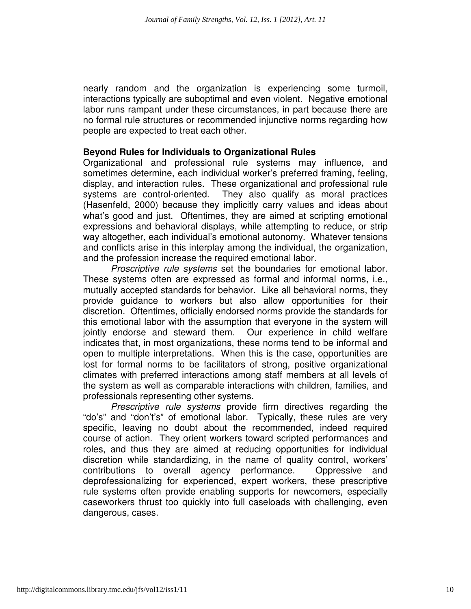nearly random and the organization is experiencing some turmoil, interactions typically are suboptimal and even violent. Negative emotional labor runs rampant under these circumstances, in part because there are no formal rule structures or recommended injunctive norms regarding how people are expected to treat each other.

#### **Beyond Rules for Individuals to Organizational Rules**

Organizational and professional rule systems may influence, and sometimes determine, each individual worker's preferred framing, feeling, display, and interaction rules. These organizational and professional rule systems are control-oriented. They also qualify as moral practices (Hasenfeld, 2000) because they implicitly carry values and ideas about what's good and just. Oftentimes, they are aimed at scripting emotional expressions and behavioral displays, while attempting to reduce, or strip way altogether, each individual's emotional autonomy. Whatever tensions and conflicts arise in this interplay among the individual, the organization, and the profession increase the required emotional labor.

Proscriptive rule systems set the boundaries for emotional labor. These systems often are expressed as formal and informal norms, i.e., mutually accepted standards for behavior. Like all behavioral norms, they provide guidance to workers but also allow opportunities for their discretion. Oftentimes, officially endorsed norms provide the standards for this emotional labor with the assumption that everyone in the system will jointly endorse and steward them. Our experience in child welfare indicates that, in most organizations, these norms tend to be informal and open to multiple interpretations. When this is the case, opportunities are lost for formal norms to be facilitators of strong, positive organizational climates with preferred interactions among staff members at all levels of the system as well as comparable interactions with children, families, and professionals representing other systems.

Prescriptive rule systems provide firm directives regarding the "do's" and "don't's" of emotional labor. Typically, these rules are very specific, leaving no doubt about the recommended, indeed required course of action. They orient workers toward scripted performances and roles, and thus they are aimed at reducing opportunities for individual discretion while standardizing, in the name of quality control, workers' contributions to overall agency performance. Oppressive and deprofessionalizing for experienced, expert workers, these prescriptive rule systems often provide enabling supports for newcomers, especially caseworkers thrust too quickly into full caseloads with challenging, even dangerous, cases.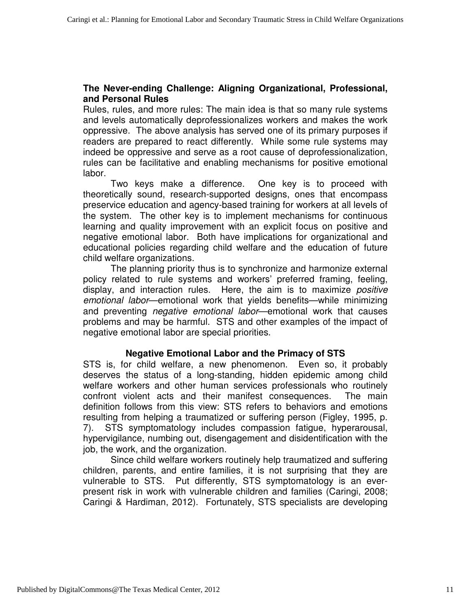# **The Never-ending Challenge: Aligning Organizational, Professional, and Personal Rules**

Rules, rules, and more rules: The main idea is that so many rule systems and levels automatically deprofessionalizes workers and makes the work oppressive. The above analysis has served one of its primary purposes if readers are prepared to react differently. While some rule systems may indeed be oppressive and serve as a root cause of deprofessionalization, rules can be facilitative and enabling mechanisms for positive emotional labor.

Two keys make a difference. One key is to proceed with theoretically sound, research-supported designs, ones that encompass preservice education and agency-based training for workers at all levels of the system. The other key is to implement mechanisms for continuous learning and quality improvement with an explicit focus on positive and negative emotional labor. Both have implications for organizational and educational policies regarding child welfare and the education of future child welfare organizations.

The planning priority thus is to synchronize and harmonize external policy related to rule systems and workers' preferred framing, feeling, display, and interaction rules. Here, the aim is to maximize *positive* emotional labor—emotional work that yields benefits—while minimizing and preventing *negative emotional labor*—emotional work that causes problems and may be harmful. STS and other examples of the impact of negative emotional labor are special priorities.

# **Negative Emotional Labor and the Primacy of STS**

STS is, for child welfare, a new phenomenon. Even so, it probably deserves the status of a long-standing, hidden epidemic among child welfare workers and other human services professionals who routinely confront violent acts and their manifest consequences. The main definition follows from this view: STS refers to behaviors and emotions resulting from helping a traumatized or suffering person (Figley, 1995, p. 7). STS symptomatology includes compassion fatigue, hyperarousal, hypervigilance, numbing out, disengagement and disidentification with the job, the work, and the organization.

Since child welfare workers routinely help traumatized and suffering children, parents, and entire families, it is not surprising that they are vulnerable to STS. Put differently, STS symptomatology is an everpresent risk in work with vulnerable children and families (Caringi, 2008; Caringi & Hardiman, 2012). Fortunately, STS specialists are developing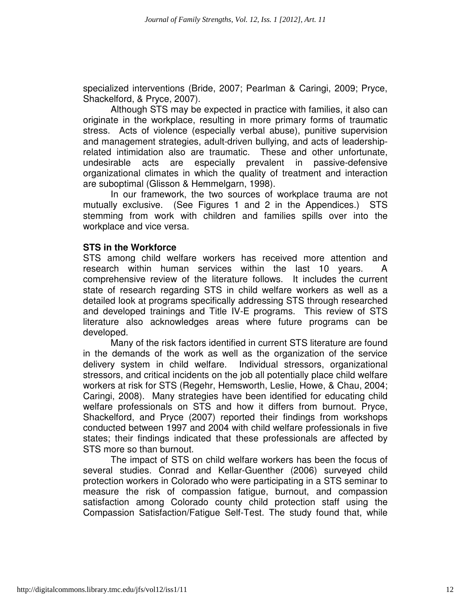specialized interventions (Bride, 2007; Pearlman & Caringi, 2009; Pryce, Shackelford, & Pryce, 2007).

 Although STS may be expected in practice with families, it also can originate in the workplace, resulting in more primary forms of traumatic stress. Acts of violence (especially verbal abuse), punitive supervision and management strategies, adult-driven bullying, and acts of leadershiprelated intimidation also are traumatic. These and other unfortunate, undesirable acts are especially prevalent in passive-defensive organizational climates in which the quality of treatment and interaction are suboptimal (Glisson & Hemmelgarn, 1998).

In our framework, the two sources of workplace trauma are not mutually exclusive. (See Figures 1 and 2 in the Appendices.) STS stemming from work with children and families spills over into the workplace and vice versa.

#### **STS in the Workforce**

STS among child welfare workers has received more attention and research within human services within the last 10 years. A comprehensive review of the literature follows. It includes the current state of research regarding STS in child welfare workers as well as a detailed look at programs specifically addressing STS through researched and developed trainings and Title IV-E programs. This review of STS literature also acknowledges areas where future programs can be developed.

Many of the risk factors identified in current STS literature are found in the demands of the work as well as the organization of the service delivery system in child welfare. Individual stressors, organizational stressors, and critical incidents on the job all potentially place child welfare workers at risk for STS (Regehr, Hemsworth, Leslie, Howe, & Chau, 2004; Caringi, 2008). Many strategies have been identified for educating child welfare professionals on STS and how it differs from burnout. Pryce, Shackelford, and Pryce (2007) reported their findings from workshops conducted between 1997 and 2004 with child welfare professionals in five states; their findings indicated that these professionals are affected by STS more so than burnout.

The impact of STS on child welfare workers has been the focus of several studies. Conrad and Kellar-Guenther (2006) surveyed child protection workers in Colorado who were participating in a STS seminar to measure the risk of compassion fatigue, burnout, and compassion satisfaction among Colorado county child protection staff using the Compassion Satisfaction/Fatigue Self-Test. The study found that, while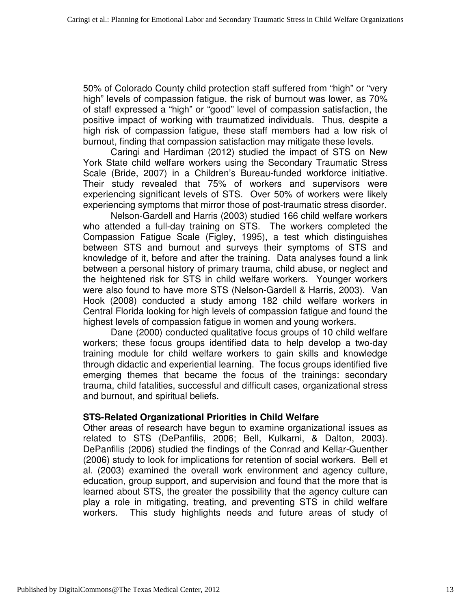50% of Colorado County child protection staff suffered from "high" or "very high" levels of compassion fatigue, the risk of burnout was lower, as 70% of staff expressed a "high" or "good" level of compassion satisfaction, the positive impact of working with traumatized individuals. Thus, despite a high risk of compassion fatigue, these staff members had a low risk of burnout, finding that compassion satisfaction may mitigate these levels.

Caringi and Hardiman (2012) studied the impact of STS on New York State child welfare workers using the Secondary Traumatic Stress Scale (Bride, 2007) in a Children's Bureau-funded workforce initiative. Their study revealed that 75% of workers and supervisors were experiencing significant levels of STS. Over 50% of workers were likely experiencing symptoms that mirror those of post-traumatic stress disorder.

Nelson-Gardell and Harris (2003) studied 166 child welfare workers who attended a full-day training on STS. The workers completed the Compassion Fatigue Scale (Figley, 1995), a test which distinguishes between STS and burnout and surveys their symptoms of STS and knowledge of it, before and after the training. Data analyses found a link between a personal history of primary trauma, child abuse, or neglect and the heightened risk for STS in child welfare workers. Younger workers were also found to have more STS (Nelson-Gardell & Harris, 2003). Van Hook (2008) conducted a study among 182 child welfare workers in Central Florida looking for high levels of compassion fatigue and found the highest levels of compassion fatigue in women and young workers.

Dane (2000) conducted qualitative focus groups of 10 child welfare workers; these focus groups identified data to help develop a two-day training module for child welfare workers to gain skills and knowledge through didactic and experiential learning. The focus groups identified five emerging themes that became the focus of the trainings: secondary trauma, child fatalities, successful and difficult cases, organizational stress and burnout, and spiritual beliefs.

# **STS-Related Organizational Priorities in Child Welfare**

Other areas of research have begun to examine organizational issues as related to STS (DePanfilis, 2006; Bell, Kulkarni, & Dalton, 2003). DePanfilis (2006) studied the findings of the Conrad and Kellar-Guenther (2006) study to look for implications for retention of social workers. Bell et al. (2003) examined the overall work environment and agency culture, education, group support, and supervision and found that the more that is learned about STS, the greater the possibility that the agency culture can play a role in mitigating, treating, and preventing STS in child welfare workers. This study highlights needs and future areas of study of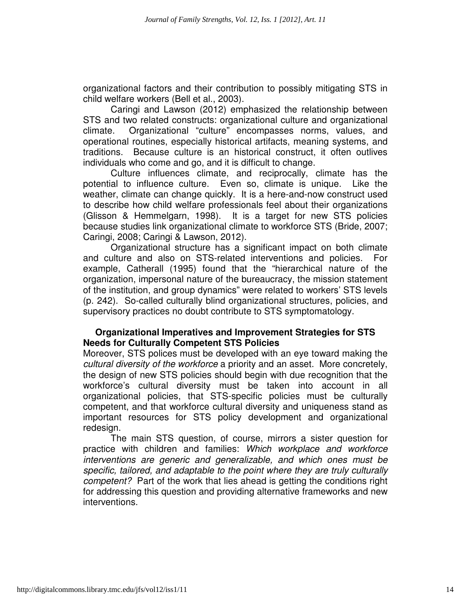organizational factors and their contribution to possibly mitigating STS in child welfare workers (Bell et al., 2003).

Caringi and Lawson (2012) emphasized the relationship between STS and two related constructs: organizational culture and organizational climate. Organizational "culture" encompasses norms, values, and operational routines, especially historical artifacts, meaning systems, and traditions. Because culture is an historical construct, it often outlives individuals who come and go, and it is difficult to change.

Culture influences climate, and reciprocally, climate has the potential to influence culture. Even so, climate is unique. Like the weather, climate can change quickly. It is a here-and-now construct used to describe how child welfare professionals feel about their organizations (Glisson & Hemmelgarn, 1998). It is a target for new STS policies because studies link organizational climate to workforce STS (Bride, 2007; Caringi, 2008; Caringi & Lawson, 2012).

Organizational structure has a significant impact on both climate and culture and also on STS-related interventions and policies. For example, Catherall (1995) found that the "hierarchical nature of the organization, impersonal nature of the bureaucracy, the mission statement of the institution, and group dynamics" were related to workers' STS levels (p. 242). So-called culturally blind organizational structures, policies, and supervisory practices no doubt contribute to STS symptomatology.

# **Organizational Imperatives and Improvement Strategies for STS Needs for Culturally Competent STS Policies**

Moreover, STS polices must be developed with an eye toward making the cultural diversity of the workforce a priority and an asset. More concretely, the design of new STS policies should begin with due recognition that the workforce's cultural diversity must be taken into account in all organizational policies, that STS-specific policies must be culturally competent, and that workforce cultural diversity and uniqueness stand as important resources for STS policy development and organizational redesign.

The main STS question, of course, mirrors a sister question for practice with children and families: Which workplace and workforce interventions are generic and generalizable, and which ones must be specific, tailored, and adaptable to the point where they are truly culturally competent? Part of the work that lies ahead is getting the conditions right for addressing this question and providing alternative frameworks and new interventions.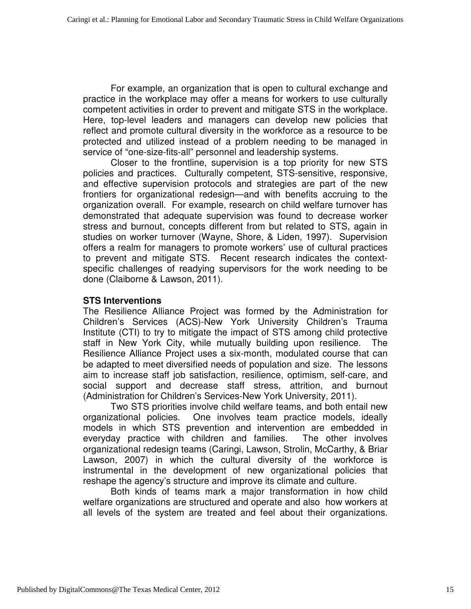For example, an organization that is open to cultural exchange and practice in the workplace may offer a means for workers to use culturally competent activities in order to prevent and mitigate STS in the workplace. Here, top-level leaders and managers can develop new policies that reflect and promote cultural diversity in the workforce as a resource to be protected and utilized instead of a problem needing to be managed in service of "one-size-fits-all" personnel and leadership systems.

Closer to the frontline, supervision is a top priority for new STS policies and practices. Culturally competent, STS-sensitive, responsive, and effective supervision protocols and strategies are part of the new frontiers for organizational redesign—and with benefits accruing to the organization overall. For example, research on child welfare turnover has demonstrated that adequate supervision was found to decrease worker stress and burnout, concepts different from but related to STS, again in studies on worker turnover (Wayne, Shore, & Liden, 1997). Supervision offers a realm for managers to promote workers' use of cultural practices to prevent and mitigate STS. Recent research indicates the contextspecific challenges of readying supervisors for the work needing to be done (Claiborne & Lawson, 2011).

# **STS Interventions**

The Resilience Alliance Project was formed by the Administration for Children's Services (ACS)-New York University Children's Trauma Institute (CTI) to try to mitigate the impact of STS among child protective staff in New York City, while mutually building upon resilience. The Resilience Alliance Project uses a six-month, modulated course that can be adapted to meet diversified needs of population and size. The lessons aim to increase staff job satisfaction, resilience, optimism, self-care, and social support and decrease staff stress, attrition, and burnout (Administration for Children's Services-New York University, 2011).

Two STS priorities involve child welfare teams, and both entail new organizational policies. One involves team practice models, ideally models in which STS prevention and intervention are embedded in everyday practice with children and families. The other involves organizational redesign teams (Caringi, Lawson, Strolin, McCarthy, & Briar Lawson, 2007) in which the cultural diversity of the workforce is instrumental in the development of new organizational policies that reshape the agency's structure and improve its climate and culture.

Both kinds of teams mark a major transformation in how child welfare organizations are structured and operate and also how workers at all levels of the system are treated and feel about their organizations.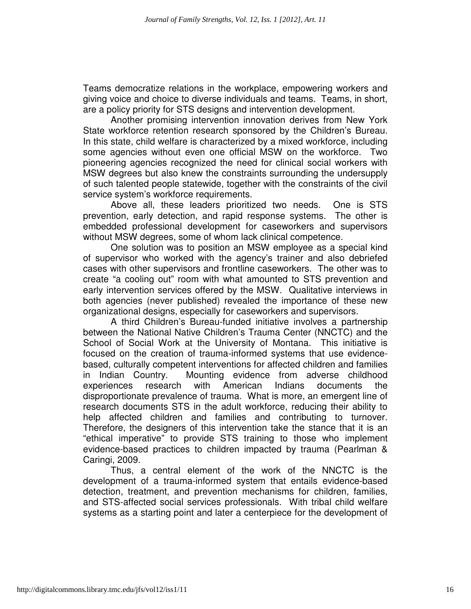Teams democratize relations in the workplace, empowering workers and giving voice and choice to diverse individuals and teams. Teams, in short, are a policy priority for STS designs and intervention development.

Another promising intervention innovation derives from New York State workforce retention research sponsored by the Children's Bureau. In this state, child welfare is characterized by a mixed workforce, including some agencies without even one official MSW on the workforce. Two pioneering agencies recognized the need for clinical social workers with MSW degrees but also knew the constraints surrounding the undersupply of such talented people statewide, together with the constraints of the civil service system's workforce requirements.

Above all, these leaders prioritized two needs. One is STS prevention, early detection, and rapid response systems. The other is embedded professional development for caseworkers and supervisors without MSW degrees, some of whom lack clinical competence.

One solution was to position an MSW employee as a special kind of supervisor who worked with the agency's trainer and also debriefed cases with other supervisors and frontline caseworkers. The other was to create "a cooling out" room with what amounted to STS prevention and early intervention services offered by the MSW. Qualitative interviews in both agencies (never published) revealed the importance of these new organizational designs, especially for caseworkers and supervisors.

A third Children's Bureau-funded initiative involves a partnership between the National Native Children's Trauma Center (NNCTC) and the School of Social Work at the University of Montana. This initiative is focused on the creation of trauma-informed systems that use evidencebased, culturally competent interventions for affected children and families in Indian Country. Mounting evidence from adverse childhood experiences research with American Indians documents the disproportionate prevalence of trauma. What is more, an emergent line of research documents STS in the adult workforce, reducing their ability to help affected children and families and contributing to turnover. Therefore, the designers of this intervention take the stance that it is an "ethical imperative" to provide STS training to those who implement evidence-based practices to children impacted by trauma (Pearlman & Caringi, 2009.

Thus, a central element of the work of the NNCTC is the development of a trauma-informed system that entails evidence-based detection, treatment, and prevention mechanisms for children, families, and STS-affected social services professionals. With tribal child welfare systems as a starting point and later a centerpiece for the development of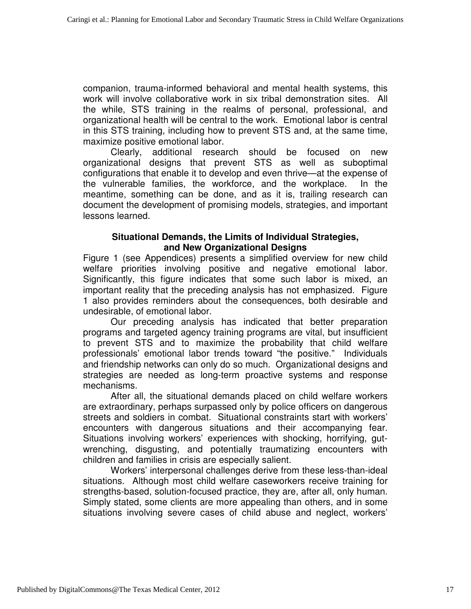companion, trauma-informed behavioral and mental health systems, this work will involve collaborative work in six tribal demonstration sites. All the while, STS training in the realms of personal, professional, and organizational health will be central to the work. Emotional labor is central in this STS training, including how to prevent STS and, at the same time, maximize positive emotional labor.

Clearly, additional research should be focused on new organizational designs that prevent STS as well as suboptimal configurations that enable it to develop and even thrive—at the expense of the vulnerable families, the workforce, and the workplace. In the meantime, something can be done, and as it is, trailing research can document the development of promising models, strategies, and important lessons learned.

# **Situational Demands, the Limits of Individual Strategies, and New Organizational Designs**

Figure 1 (see Appendices) presents a simplified overview for new child welfare priorities involving positive and negative emotional labor. Significantly, this figure indicates that some such labor is mixed, an important reality that the preceding analysis has not emphasized. Figure 1 also provides reminders about the consequences, both desirable and undesirable, of emotional labor.

Our preceding analysis has indicated that better preparation programs and targeted agency training programs are vital, but insufficient to prevent STS and to maximize the probability that child welfare professionals' emotional labor trends toward "the positive." Individuals and friendship networks can only do so much. Organizational designs and strategies are needed as long-term proactive systems and response mechanisms.

After all, the situational demands placed on child welfare workers are extraordinary, perhaps surpassed only by police officers on dangerous streets and soldiers in combat. Situational constraints start with workers' encounters with dangerous situations and their accompanying fear. Situations involving workers' experiences with shocking, horrifying, gutwrenching, disgusting, and potentially traumatizing encounters with children and families in crisis are especially salient.

Workers' interpersonal challenges derive from these less-than-ideal situations. Although most child welfare caseworkers receive training for strengths-based, solution-focused practice, they are, after all, only human. Simply stated, some clients are more appealing than others, and in some situations involving severe cases of child abuse and neglect, workers'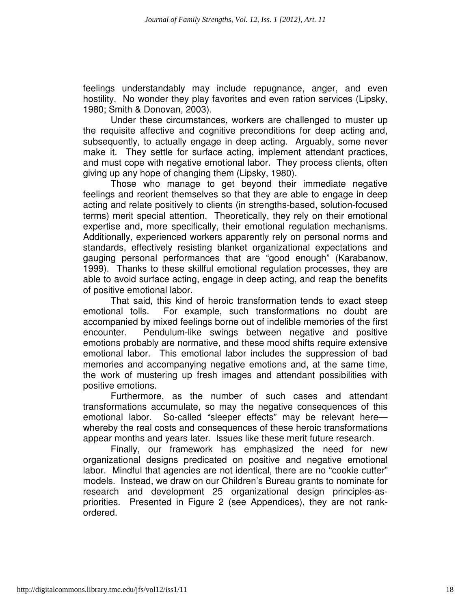feelings understandably may include repugnance, anger, and even hostility. No wonder they play favorites and even ration services (Lipsky, 1980; Smith & Donovan, 2003).

Under these circumstances, workers are challenged to muster up the requisite affective and cognitive preconditions for deep acting and, subsequently, to actually engage in deep acting. Arguably, some never make it. They settle for surface acting, implement attendant practices, and must cope with negative emotional labor. They process clients, often giving up any hope of changing them (Lipsky, 1980).

Those who manage to get beyond their immediate negative feelings and reorient themselves so that they are able to engage in deep acting and relate positively to clients (in strengths-based, solution-focused terms) merit special attention. Theoretically, they rely on their emotional expertise and, more specifically, their emotional regulation mechanisms. Additionally, experienced workers apparently rely on personal norms and standards, effectively resisting blanket organizational expectations and gauging personal performances that are "good enough" (Karabanow, 1999). Thanks to these skillful emotional regulation processes, they are able to avoid surface acting, engage in deep acting, and reap the benefits of positive emotional labor.

That said, this kind of heroic transformation tends to exact steep emotional tolls. For example, such transformations no doubt are accompanied by mixed feelings borne out of indelible memories of the first encounter. Pendulum-like swings between negative and positive emotions probably are normative, and these mood shifts require extensive emotional labor. This emotional labor includes the suppression of bad memories and accompanying negative emotions and, at the same time, the work of mustering up fresh images and attendant possibilities with positive emotions.

Furthermore, as the number of such cases and attendant transformations accumulate, so may the negative consequences of this emotional labor. So-called "sleeper effects" may be relevant here whereby the real costs and consequences of these heroic transformations appear months and years later. Issues like these merit future research.

 Finally, our framework has emphasized the need for new organizational designs predicated on positive and negative emotional labor. Mindful that agencies are not identical, there are no "cookie cutter" models. Instead, we draw on our Children's Bureau grants to nominate for research and development 25 organizational design principles-aspriorities. Presented in Figure 2 (see Appendices), they are not rankordered.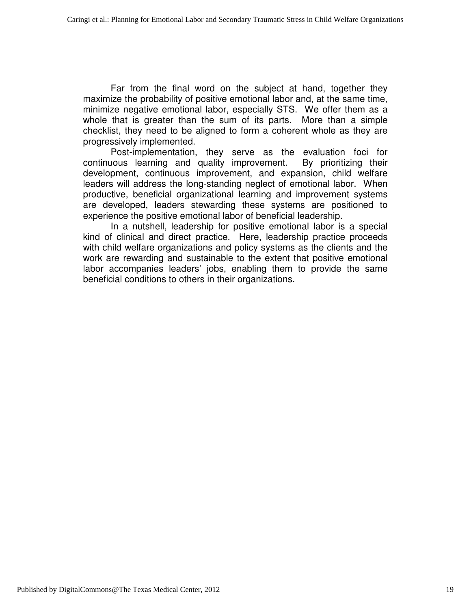Far from the final word on the subject at hand, together they maximize the probability of positive emotional labor and, at the same time, minimize negative emotional labor, especially STS. We offer them as a whole that is greater than the sum of its parts. More than a simple checklist, they need to be aligned to form a coherent whole as they are progressively implemented.

Post-implementation, they serve as the evaluation foci for continuous learning and quality improvement. By prioritizing their development, continuous improvement, and expansion, child welfare leaders will address the long-standing neglect of emotional labor. When productive, beneficial organizational learning and improvement systems are developed, leaders stewarding these systems are positioned to experience the positive emotional labor of beneficial leadership.

In a nutshell, leadership for positive emotional labor is a special kind of clinical and direct practice. Here, leadership practice proceeds with child welfare organizations and policy systems as the clients and the work are rewarding and sustainable to the extent that positive emotional labor accompanies leaders' jobs, enabling them to provide the same beneficial conditions to others in their organizations.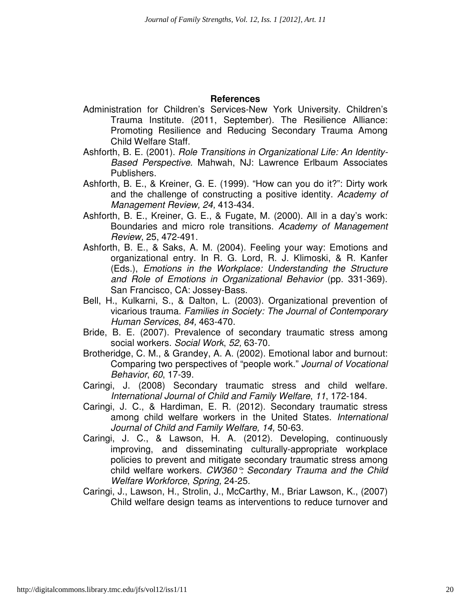#### **References**

- Administration for Children's Services-New York University. Children's Trauma Institute. (2011, September). The Resilience Alliance: Promoting Resilience and Reducing Secondary Trauma Among Child Welfare Staff.
- Ashforth, B. E. (2001). Role Transitions in Organizational Life: An Identity-Based Perspective. Mahwah, NJ: Lawrence Erlbaum Associates Publishers.
- Ashforth, B. E., & Kreiner, G. E. (1999). "How can you do it?": Dirty work and the challenge of constructing a positive identity. Academy of Management Review, 24, 413-434.
- Ashforth, B. E., Kreiner, G. E., & Fugate, M. (2000). All in a day's work: Boundaries and micro role transitions. Academy of Management Review, 25, 472-491.
- Ashforth, B. E., & Saks, A. M. (2004). Feeling your way: Emotions and organizational entry. In R. G. Lord, R. J. Klimoski, & R. Kanfer (Eds.), Emotions in the Workplace: Understanding the Structure and Role of Emotions in Organizational Behavior (pp. 331-369). San Francisco, CA: Jossey-Bass.
- Bell, H., Kulkarni, S., & Dalton, L. (2003). Organizational prevention of vicarious trauma. Families in Society: The Journal of Contemporary Human Services, 84, 463-470.
- Bride, B. E. (2007). Prevalence of secondary traumatic stress among social workers. Social Work, 52, 63-70.
- Brotheridge, C. M., & Grandey, A. A. (2002). Emotional labor and burnout: Comparing two perspectives of "people work." Journal of Vocational Behavior, 60, 17-39.
- Caringi, J. (2008) Secondary traumatic stress and child welfare. International Journal of Child and Family Welfare, 11, 172-184.
- Caringi, J. C., & Hardiman, E. R. (2012). Secondary traumatic stress among child welfare workers in the United States. International Journal of Child and Family Welfare, 14, 50-63.
- Caringi, J. C., & Lawson, H. A. (2012). Developing, continuously improving, and disseminating culturally-appropriate workplace policies to prevent and mitigate secondary traumatic stress among child welfare workers. CW360°: Secondary Trauma and the Child Welfare Workforce, Spring, 24-25.
- Caringi, J., Lawson, H., Strolin, J., McCarthy, M., Briar Lawson, K., (2007) Child welfare design teams as interventions to reduce turnover and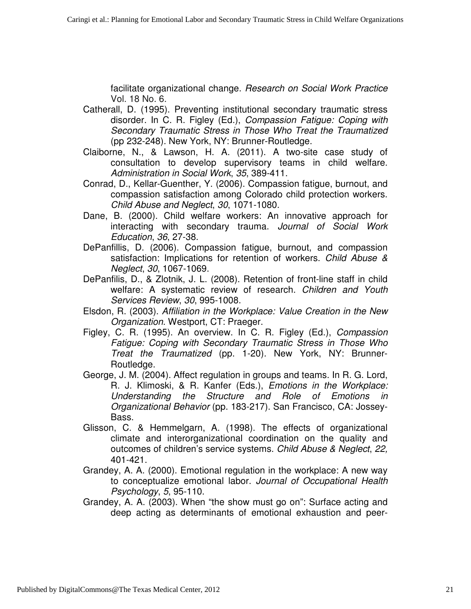facilitate organizational change. Research on Social Work Practice Vol. 18 No. 6.

- Catherall, D. (1995). Preventing institutional secondary traumatic stress disorder. In C. R. Figley (Ed.), Compassion Fatigue: Coping with Secondary Traumatic Stress in Those Who Treat the Traumatized (pp 232-248). New York, NY: Brunner-Routledge.
- Claiborne, N., & Lawson, H. A. (2011). A two-site case study of consultation to develop supervisory teams in child welfare. Administration in Social Work, 35, 389-411.
- Conrad, D., Kellar-Guenther, Y. (2006). Compassion fatigue, burnout, and compassion satisfaction among Colorado child protection workers. Child Abuse and Neglect, 30, 1071-1080.
- Dane, B. (2000). Child welfare workers: An innovative approach for interacting with secondary trauma. Journal of Social Work Education, 36, 27-38.
- DePanfillis, D. (2006). Compassion fatigue, burnout, and compassion satisfaction: Implications for retention of workers. Child Abuse & Neglect, 30, 1067-1069.
- DePanfilis, D., & Zlotnik, J. L. (2008). Retention of front-line staff in child welfare: A systematic review of research. Children and Youth Services Review, 30, 995-1008.
- Elsdon, R. (2003). Affiliation in the Workplace: Value Creation in the New Organization. Westport, CT: Praeger.
- Figley, C. R. (1995). An overview. In C. R. Figley (Ed.), Compassion Fatigue: Coping with Secondary Traumatic Stress in Those Who Treat the Traumatized (pp. 1-20). New York, NY: Brunner-Routledge.
- George, J. M. (2004). Affect regulation in groups and teams. In R. G. Lord, R. J. Klimoski, & R. Kanfer (Eds.), Emotions in the Workplace: Understanding the Structure and Role of Emotions in Organizational Behavior (pp. 183-217). San Francisco, CA: Jossey-Bass.
- Glisson, C. & Hemmelgarn, A. (1998). The effects of organizational climate and interorganizational coordination on the quality and outcomes of children's service systems. Child Abuse & Neglect, 22, 401-421.
- Grandey, A. A. (2000). Emotional regulation in the workplace: A new way to conceptualize emotional labor. Journal of Occupational Health Psychology, 5, 95-110.
- Grandey, A. A. (2003). When "the show must go on": Surface acting and deep acting as determinants of emotional exhaustion and peer-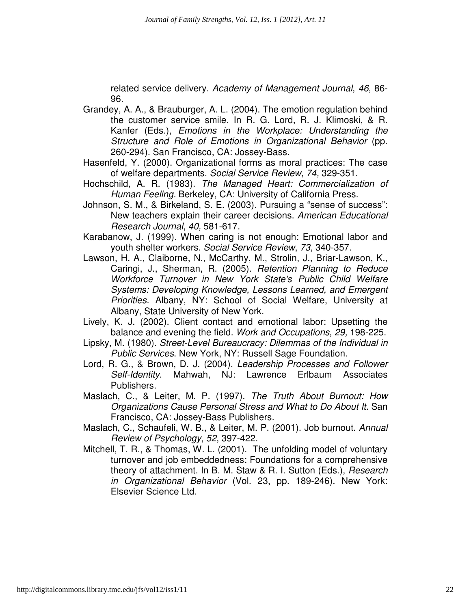related service delivery. Academy of Management Journal, 46, 86- 96.

- Grandey, A. A., & Brauburger, A. L. (2004). The emotion regulation behind the customer service smile. In R. G. Lord, R. J. Klimoski, & R. Kanfer (Eds.), Emotions in the Workplace: Understanding the Structure and Role of Emotions in Organizational Behavior (pp. 260-294). San Francisco, CA: Jossey-Bass.
- Hasenfeld, Y. (2000). Organizational forms as moral practices: The case of welfare departments. Social Service Review, 74, 329-351.
- Hochschild, A. R. (1983). The Managed Heart: Commercialization of Human Feeling. Berkeley, CA: University of California Press.
- Johnson, S. M., & Birkeland, S. E. (2003). Pursuing a "sense of success": New teachers explain their career decisions. American Educational Research Journal, 40, 581-617.
- Karabanow, J. (1999). When caring is not enough: Emotional labor and youth shelter workers. Social Service Review, 73, 340-357.
- Lawson, H. A., Claiborne, N., McCarthy, M., Strolin, J., Briar-Lawson, K., Caringi, J., Sherman, R. (2005). Retention Planning to Reduce Workforce Turnover in New York State's Public Child Welfare Systems: Developing Knowledge, Lessons Learned, and Emergent Priorities. Albany, NY: School of Social Welfare, University at Albany, State University of New York.
- Lively, K. J. (2002). Client contact and emotional labor: Upsetting the balance and evening the field. Work and Occupations, 29, 198-225.
- Lipsky, M. (1980). Street-Level Bureaucracy: Dilemmas of the Individual in Public Services. New York, NY: Russell Sage Foundation.
- Lord, R. G., & Brown, D. J. (2004). Leadership Processes and Follower Self-Identity. Mahwah, NJ: Lawrence Erlbaum Associates Publishers.
- Maslach, C., & Leiter, M. P. (1997). The Truth About Burnout: How Organizations Cause Personal Stress and What to Do About It. San Francisco, CA: Jossey-Bass Publishers.
- Maslach, C., Schaufeli, W. B., & Leiter, M. P. (2001). Job burnout. Annual Review of Psychology, 52, 397-422.
- Mitchell, T. R., & Thomas, W. L. (2001). The unfolding model of voluntary turnover and job embeddedness: Foundations for a comprehensive theory of attachment. In B. M. Staw & R. I. Sutton (Eds.), Research in Organizational Behavior (Vol. 23, pp. 189-246). New York: Elsevier Science Ltd.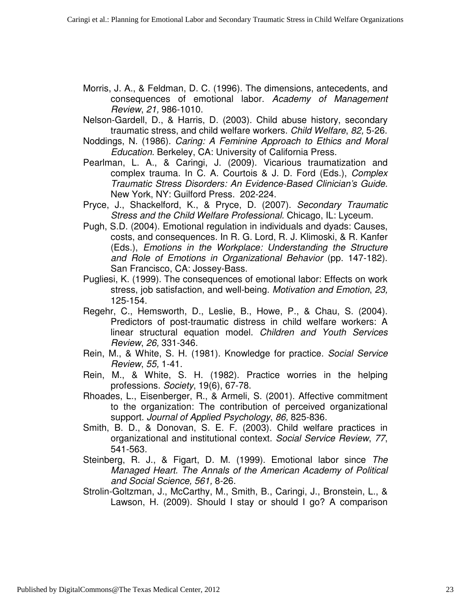- Morris, J. A., & Feldman, D. C. (1996). The dimensions, antecedents, and consequences of emotional labor. Academy of Management Review, 21, 986-1010.
- Nelson-Gardell, D., & Harris, D. (2003). Child abuse history, secondary traumatic stress, and child welfare workers. Child Welfare, 82, 5-26.
- Noddings, N. (1986). Caring: A Feminine Approach to Ethics and Moral Education. Berkeley, CA: University of California Press.
- Pearlman, L. A., & Caringi, J. (2009). Vicarious traumatization and complex trauma. In C. A. Courtois & J. D. Ford (Eds.), Complex Traumatic Stress Disorders: An Evidence-Based Clinician's Guide. New York, NY: Guilford Press. 202-224.
- Pryce, J., Shackelford, K., & Pryce, D. (2007). Secondary Traumatic Stress and the Child Welfare Professional. Chicago, IL: Lyceum.
- Pugh, S.D. (2004). Emotional regulation in individuals and dyads: Causes, costs, and consequences. In R. G. Lord, R. J. Klimoski, & R. Kanfer (Eds.), Emotions in the Workplace: Understanding the Structure and Role of Emotions in Organizational Behavior (pp. 147-182). San Francisco, CA: Jossey-Bass.
- Pugliesi, K. (1999). The consequences of emotional labor: Effects on work stress, job satisfaction, and well-being. Motivation and Emotion, 23, 125-154.
- Regehr, C., Hemsworth, D., Leslie, B., Howe, P., & Chau, S. (2004). Predictors of post-traumatic distress in child welfare workers: A linear structural equation model. Children and Youth Services Review, 26, 331-346.
- Rein, M., & White, S. H. (1981). Knowledge for practice. Social Service Review, 55, 1-41.
- Rein, M., & White, S. H. (1982). Practice worries in the helping professions. Society, 19(6), 67-78.
- Rhoades, L., Eisenberger, R., & Armeli, S. (2001). Affective commitment to the organization: The contribution of perceived organizational support. Journal of Applied Psychology, 86, 825-836.
- Smith, B. D., & Donovan, S. E. F. (2003). Child welfare practices in organizational and institutional context. Social Service Review, 77, 541-563.
- Steinberg, R. J., & Figart, D. M. (1999). Emotional labor since The Managed Heart. The Annals of the American Academy of Political and Social Science, 561, 8-26.
- Strolin-Goltzman, J., McCarthy, M., Smith, B., Caringi, J., Bronstein, L., & Lawson, H. (2009). Should I stay or should I go? A comparison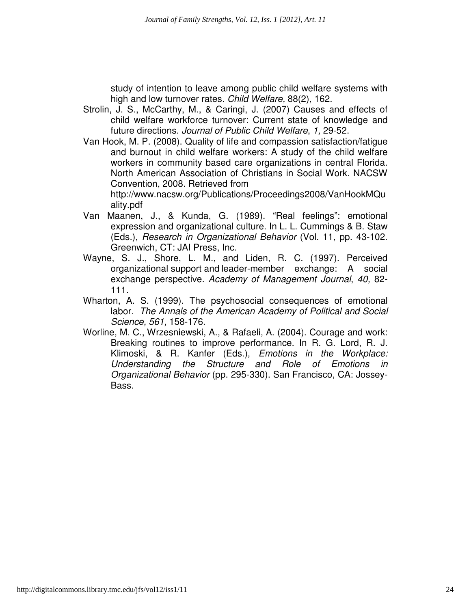study of intention to leave among public child welfare systems with high and low turnover rates. Child Welfare, 88(2), 162.

- Strolin, J. S., McCarthy, M., & Caringi, J. (2007) Causes and effects of child welfare workforce turnover: Current state of knowledge and future directions. Journal of Public Child Welfare, 1, 29-52.
- Van Hook, M. P. (2008). Quality of life and compassion satisfaction/fatigue and burnout in child welfare workers: A study of the child welfare workers in community based care organizations in central Florida. North American Association of Christians in Social Work. NACSW Convention, 2008. Retrieved from

http://www.nacsw.org/Publications/Proceedings2008/VanHookMQu ality.pdf

- Van Maanen, J., & Kunda, G. (1989). "Real feelings": emotional expression and organizational culture. In L. L. Cummings & B. Staw (Eds.), Research in Organizational Behavior (Vol. 11, pp. 43-102. Greenwich, CT: JAI Press, Inc.
- Wayne, S. J., Shore, L. M., and Liden, R. C. (1997). Perceived organizational support and leader-member exchange: A social exchange perspective. Academy of Management Journal, 40, 82- 111.
- Wharton, A. S. (1999). The psychosocial consequences of emotional labor. The Annals of the American Academy of Political and Social Science, 561, 158-176.
- Worline, M. C., Wrzesniewski, A., & Rafaeli, A. (2004). Courage and work: Breaking routines to improve performance. In R. G. Lord, R. J. Klimoski, & R. Kanfer (Eds.), Emotions in the Workplace: Understanding the Structure and Role of Emotions in Organizational Behavior (pp. 295-330). San Francisco, CA: Jossey-Bass.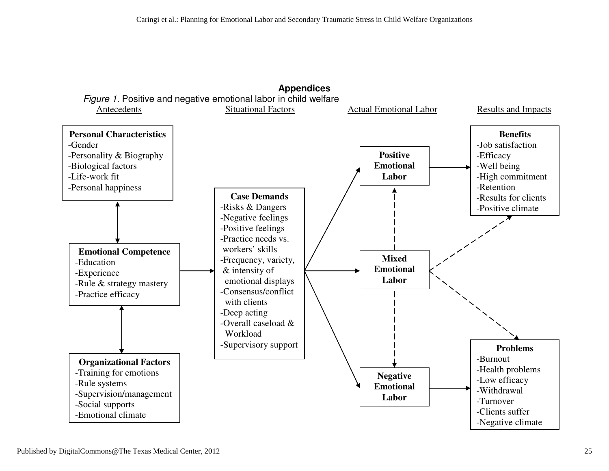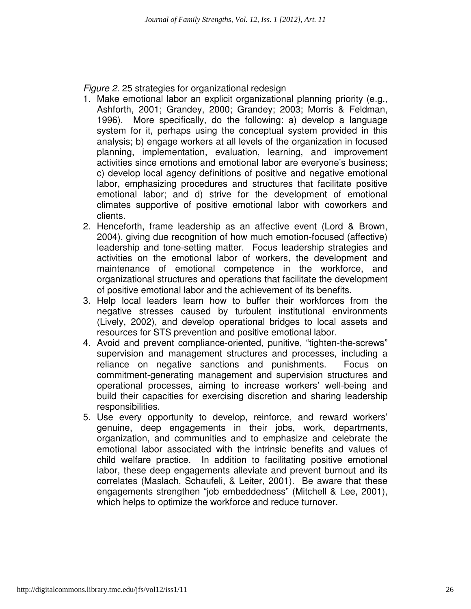Figure 2. 25 strategies for organizational redesign

- 1. Make emotional labor an explicit organizational planning priority (e.g., Ashforth, 2001; Grandey, 2000; Grandey; 2003; Morris & Feldman, 1996). More specifically, do the following: a) develop a language system for it, perhaps using the conceptual system provided in this analysis; b) engage workers at all levels of the organization in focused planning, implementation, evaluation, learning, and improvement activities since emotions and emotional labor are everyone's business; c) develop local agency definitions of positive and negative emotional labor, emphasizing procedures and structures that facilitate positive emotional labor; and d) strive for the development of emotional climates supportive of positive emotional labor with coworkers and clients.
- 2. Henceforth, frame leadership as an affective event (Lord & Brown, 2004), giving due recognition of how much emotion-focused (affective) leadership and tone-setting matter. Focus leadership strategies and activities on the emotional labor of workers, the development and maintenance of emotional competence in the workforce, and organizational structures and operations that facilitate the development of positive emotional labor and the achievement of its benefits.
- 3. Help local leaders learn how to buffer their workforces from the negative stresses caused by turbulent institutional environments (Lively, 2002), and develop operational bridges to local assets and resources for STS prevention and positive emotional labor.
- 4. Avoid and prevent compliance-oriented, punitive, "tighten-the-screws" supervision and management structures and processes, including a reliance on negative sanctions and punishments. Focus on commitment-generating management and supervision structures and operational processes, aiming to increase workers' well-being and build their capacities for exercising discretion and sharing leadership responsibilities.
- 5. Use every opportunity to develop, reinforce, and reward workers' genuine, deep engagements in their jobs, work, departments, organization, and communities and to emphasize and celebrate the emotional labor associated with the intrinsic benefits and values of child welfare practice. In addition to facilitating positive emotional labor, these deep engagements alleviate and prevent burnout and its correlates (Maslach, Schaufeli, & Leiter, 2001). Be aware that these engagements strengthen "job embeddedness" (Mitchell & Lee, 2001), which helps to optimize the workforce and reduce turnover.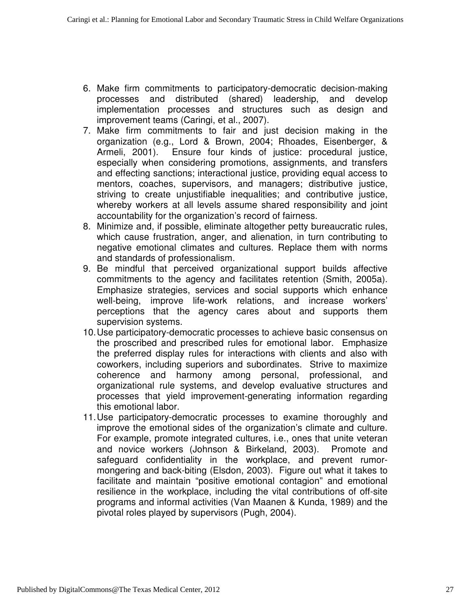- 6. Make firm commitments to participatory-democratic decision-making processes and distributed (shared) leadership, and develop implementation processes and structures such as design and improvement teams (Caringi, et al., 2007).
- 7. Make firm commitments to fair and just decision making in the organization (e.g., Lord & Brown, 2004; Rhoades, Eisenberger, & Armeli, 2001). Ensure four kinds of justice: procedural justice, especially when considering promotions, assignments, and transfers and effecting sanctions; interactional justice, providing equal access to mentors, coaches, supervisors, and managers; distributive justice, striving to create unjustifiable inequalities; and contributive justice, whereby workers at all levels assume shared responsibility and joint accountability for the organization's record of fairness.
- 8. Minimize and, if possible, eliminate altogether petty bureaucratic rules, which cause frustration, anger, and alienation, in turn contributing to negative emotional climates and cultures. Replace them with norms and standards of professionalism.
- 9. Be mindful that perceived organizational support builds affective commitments to the agency and facilitates retention (Smith, 2005a). Emphasize strategies, services and social supports which enhance well-being, improve life-work relations, and increase workers' perceptions that the agency cares about and supports them supervision systems.
- 10. Use participatory-democratic processes to achieve basic consensus on the proscribed and prescribed rules for emotional labor. Emphasize the preferred display rules for interactions with clients and also with coworkers, including superiors and subordinates. Strive to maximize coherence and harmony among personal, professional, and organizational rule systems, and develop evaluative structures and processes that yield improvement-generating information regarding this emotional labor.
- 11. Use participatory-democratic processes to examine thoroughly and improve the emotional sides of the organization's climate and culture. For example, promote integrated cultures, i.e., ones that unite veteran and novice workers (Johnson & Birkeland, 2003). Promote and safeguard confidentiality in the workplace, and prevent rumormongering and back-biting (Elsdon, 2003). Figure out what it takes to facilitate and maintain "positive emotional contagion" and emotional resilience in the workplace, including the vital contributions of off-site programs and informal activities (Van Maanen & Kunda, 1989) and the pivotal roles played by supervisors (Pugh, 2004).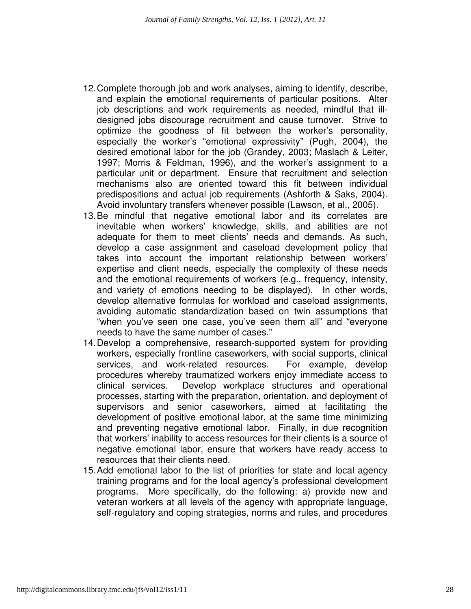- 12. Complete thorough job and work analyses, aiming to identify, describe, and explain the emotional requirements of particular positions. Alter job descriptions and work requirements as needed, mindful that illdesigned jobs discourage recruitment and cause turnover. Strive to optimize the goodness of fit between the worker's personality, especially the worker's "emotional expressivity" (Pugh, 2004), the desired emotional labor for the job (Grandey, 2003; Maslach & Leiter, 1997; Morris & Feldman, 1996), and the worker's assignment to a particular unit or department. Ensure that recruitment and selection mechanisms also are oriented toward this fit between individual predispositions and actual job requirements (Ashforth & Saks, 2004). Avoid involuntary transfers whenever possible (Lawson, et al., 2005).
- 13. Be mindful that negative emotional labor and its correlates are inevitable when workers' knowledge, skills, and abilities are not adequate for them to meet clients' needs and demands. As such, develop a case assignment and caseload development policy that takes into account the important relationship between workers' expertise and client needs, especially the complexity of these needs and the emotional requirements of workers (e.g., frequency, intensity, and variety of emotions needing to be displayed). In other words, develop alternative formulas for workload and caseload assignments, avoiding automatic standardization based on twin assumptions that "when you've seen one case, you've seen them all" and "everyone needs to have the same number of cases."
- 14. Develop a comprehensive, research-supported system for providing workers, especially frontline caseworkers, with social supports, clinical services, and work-related resources. For example, develop procedures whereby traumatized workers enjoy immediate access to clinical services. Develop workplace structures and operational processes, starting with the preparation, orientation, and deployment of supervisors and senior caseworkers, aimed at facilitating the development of positive emotional labor, at the same time minimizing and preventing negative emotional labor. Finally, in due recognition that workers' inability to access resources for their clients is a source of negative emotional labor, ensure that workers have ready access to resources that their clients need.
- 15. Add emotional labor to the list of priorities for state and local agency training programs and for the local agency's professional development programs. More specifically, do the following: a) provide new and veteran workers at all levels of the agency with appropriate language, self-regulatory and coping strategies, norms and rules, and procedures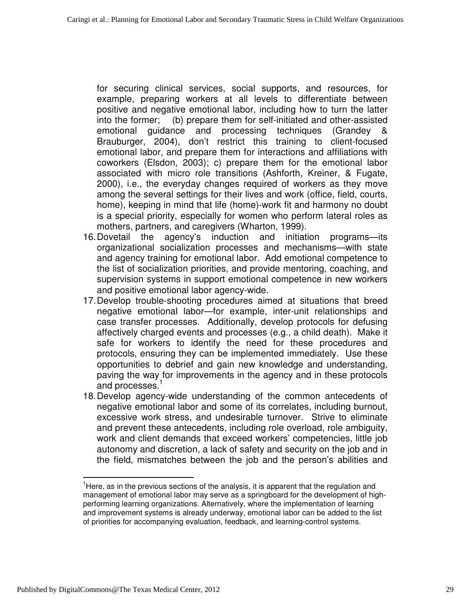for securing clinical services, social supports, and resources, for example, preparing workers at all levels to differentiate between positive and negative emotional labor, including how to turn the latter into the former; (b) prepare them for self-initiated and other-assisted emotional guidance and processing techniques (Grandey & Brauburger, 2004), don't restrict this training to client-focused emotional labor, and prepare them for interactions and affiliations with coworkers (Elsdon, 2003); c) prepare them for the emotional labor associated with micro role transitions (Ashforth, Kreiner, & Fugate, 2000), i.e., the everyday changes required of workers as they move among the several settings for their lives and work (office, field, courts, home), keeping in mind that life (home)-work fit and harmony no doubt is a special priority, especially for women who perform lateral roles as mothers, partners, and caregivers (Wharton, 1999).

- 16. Dovetail the agency's induction and initiation programs—its organizational socialization processes and mechanisms—with state and agency training for emotional labor. Add emotional competence to the list of socialization priorities, and provide mentoring, coaching, and supervision systems in support emotional competence in new workers and positive emotional labor agency-wide.
- 17. Develop trouble-shooting procedures aimed at situations that breed negative emotional labor—for example, inter-unit relationships and case transfer processes. Additionally, develop protocols for defusing affectively charged events and processes (e.g., a child death). Make it safe for workers to identify the need for these procedures and protocols, ensuring they can be implemented immediately. Use these opportunities to debrief and gain new knowledge and understanding, paving the way for improvements in the agency and in these protocols and processes.<sup>1</sup>
- 18. Develop agency-wide understanding of the common antecedents of negative emotional labor and some of its correlates, including burnout, excessive work stress, and undesirable turnover. Strive to eliminate and prevent these antecedents, including role overload, role ambiguity, work and client demands that exceed workers' competencies, little job autonomy and discretion, a lack of safety and security on the job and in the field, mismatches between the job and the person's abilities and

 $\overline{a}$ 

 $<sup>1</sup>$ Here, as in the previous sections of the analysis, it is apparent that the regulation and</sup> management of emotional labor may serve as a springboard for the development of highperforming learning organizations. Alternatively, where the implementation of learning and improvement systems is already underway, emotional labor can be added to the list of priorities for accompanying evaluation, feedback, and learning-control systems.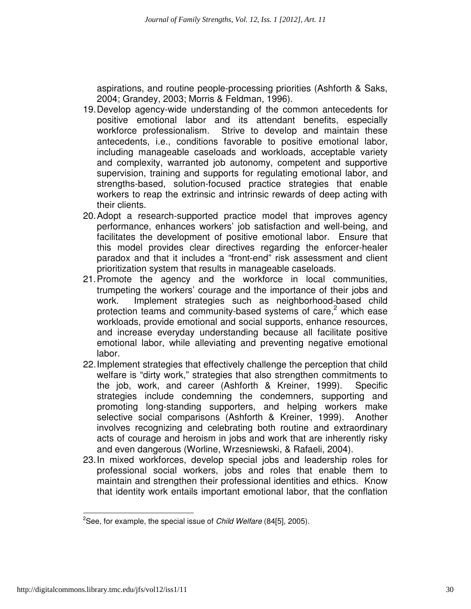aspirations, and routine people-processing priorities (Ashforth & Saks, 2004; Grandey, 2003; Morris & Feldman, 1996).

- 19. Develop agency-wide understanding of the common antecedents for positive emotional labor and its attendant benefits, especially workforce professionalism. Strive to develop and maintain these antecedents, i.e., conditions favorable to positive emotional labor, including manageable caseloads and workloads, acceptable variety and complexity, warranted job autonomy, competent and supportive supervision, training and supports for regulating emotional labor, and strengths-based, solution-focused practice strategies that enable workers to reap the extrinsic and intrinsic rewards of deep acting with their clients.
- 20. Adopt a research-supported practice model that improves agency performance, enhances workers' job satisfaction and well-being, and facilitates the development of positive emotional labor. Ensure that this model provides clear directives regarding the enforcer-healer paradox and that it includes a "front-end" risk assessment and client prioritization system that results in manageable caseloads.
- 21. Promote the agency and the workforce in local communities, trumpeting the workers' courage and the importance of their jobs and work. Implement strategies such as neighborhood-based child protection teams and community-based systems of care,<sup>2</sup> which ease workloads, provide emotional and social supports, enhance resources, and increase everyday understanding because all facilitate positive emotional labor, while alleviating and preventing negative emotional labor.
- 22. Implement strategies that effectively challenge the perception that child welfare is "dirty work," strategies that also strengthen commitments to the job, work, and career (Ashforth & Kreiner, 1999). Specific strategies include condemning the condemners, supporting and promoting long-standing supporters, and helping workers make selective social comparisons (Ashforth & Kreiner, 1999). Another involves recognizing and celebrating both routine and extraordinary acts of courage and heroism in jobs and work that are inherently risky and even dangerous (Worline, Wrzesniewski, & Rafaeli, 2004).
- 23. In mixed workforces, develop special jobs and leadership roles for professional social workers, jobs and roles that enable them to maintain and strengthen their professional identities and ethics. Know that identity work entails important emotional labor, that the conflation

l

<sup>&</sup>lt;sup>2</sup>See, for example, the special issue of *Child Welfare* (84[5], 2005).